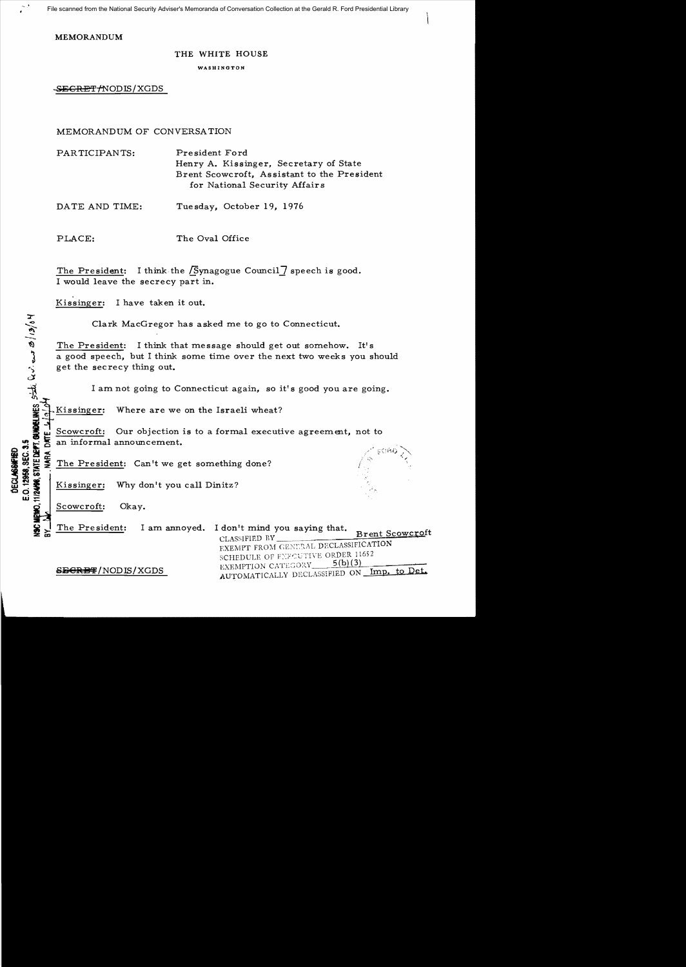File scanned from the National Security Adviser's Memoranda of Conversation Collection at the Gerald R. Ford Presidential Library

MEMORANDUM

 $\sim$ 

## THE WHITE HOUSE

WASHINGTON

SECRET/NODIS/XGDS

MEMORANDUM OF CONVERSA TION

PARTICIPANTS: President Ford Henry A. Kissinger, Secretary of State Brent Scowcroft, Assistant to the President for National Security Affair s

DATE AND TIME: Tuesday, October 19, 1976

PLACE: The Oval Office

The President: I think the  $\sqrt{S}$ ynagogue Council  $\sqrt{S}$  speech is good. I would leave the secrecy part in.

Kissinger: I have taken it out.

Clark MacGregor has asked me to go to Connecticut.

The President: I think that message should get out somehow. It's a good speech, but I think some time over the next two weeks you should get the secrecy thing out.

I am not going to Connecticut again, so it's good you are going.

Kissinger: Where are we on the Israeli wheat?

Scowcroft: Our objection is to a formal executive agreement, not to

:  $\frac{1}{100}$  an informal announcement.<br>  $\frac{1}{100}$   $\frac{1}{100}$   $\frac{1}{100}$   $\frac{1}{100}$   $\frac{1}{100}$   $\frac{1}{100}$   $\frac{1}{100}$   $\frac{1}{100}$   $\frac{1}{100}$   $\frac{1}{100}$   $\frac{1}{100}$   $\frac{1}{100}$   $\frac{1}{100}$   $\frac{1}{100}$   $\frac{1}{100}$  ~-. ~ : i7, *t;* :~'''< -.. I ~ ~ The President: Can't we get something done?  $\frac{2}{3}$  $\frac{2}{3}$  $\frac{5}{3}$  $\frac{5}{1}$ 

Kissinger: Why don't you call Dinitz?

Scowcroft: Okay.

 $\widetilde{\mathscr{C}}$ 

 $\tilde{\boldsymbol{\alpha}}$ 

 $0.12$ 

:r

The President: I am annoyed. I don't mind you saying that.

CLASSIFIED BY Brent Scowcroft EXEMPT FROM GENERAL DECLASSIFICATION SCHEDULE OF FXECUTIVE ORDER 11652 EXEMPTION CATEGORY 5(b)(5)<br>AUTOMATICALLY DECLASSIFIED ON Imp. to Det.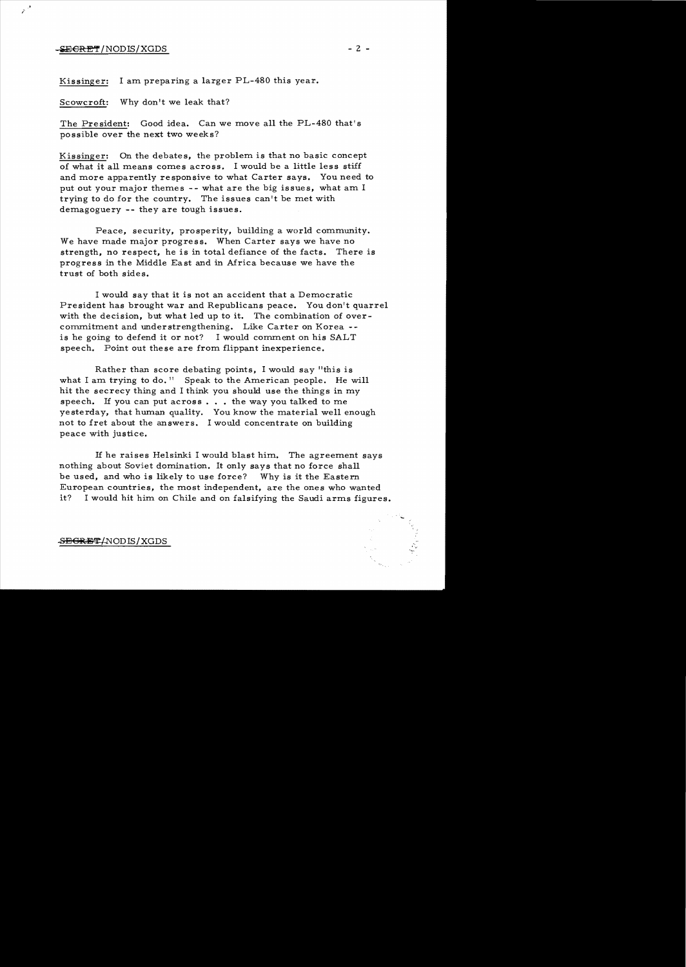## $-$  SECRET/NODIS/XGDS  $-2$  -

 $z^{3}$ 

Kissinger: I am preparing a larger PL-480 this year.

Scowcroft: Why don't we leak that?

The President: Good idea. Can we move all the PL-480 that's possible over the next two weeks?

Kissinger: On the debates, the problem is that no basic concept of what it all means comes across. I would be a little less stiff and more apparently responsive to what Carter says. You need to put out your major themes -- what are the big issues, what am I trying to do for the country. The issues can't be met with demagoguery -- they are tough issues.

Peace, security, prosperity, building a world community. We have made major progress. When Carter says we have no strength, no respect, he is in total defiance of the facts. There is progress in the Middle East and in Africa because we have the trust of both sides.

I would say that it is not an accident that a Democratic President has brought war and Republicans peace. You don't quarrel with the decision, but what led up to it. The combination of overcommitment and understrengthening. Like Carter on Korea is he going to defend it or not? I would comment on his SALT speech. Point out these are from flippant inexperience.

Rather than score debating points, I would say "this is what I am trying to do.<sup>11</sup> Speak to the American people. He will hit the secrecy thing and I think you should use the things in my speech. If you can put  $across$ ... the way you talked to me yesterday, that human quality, You know the material well enough not to fret about the answers. I would concentrate on building peace with justice.

If he raises Helsinki I would blast him. The agreement says nothing about Soviet domination. It only says that no force shall be used, and who is likely to use force? Why is it the Eastern European countries, the most independent, are the ones who wanted it? I would hit him on Chile and on falsifying the Saudi arms figures.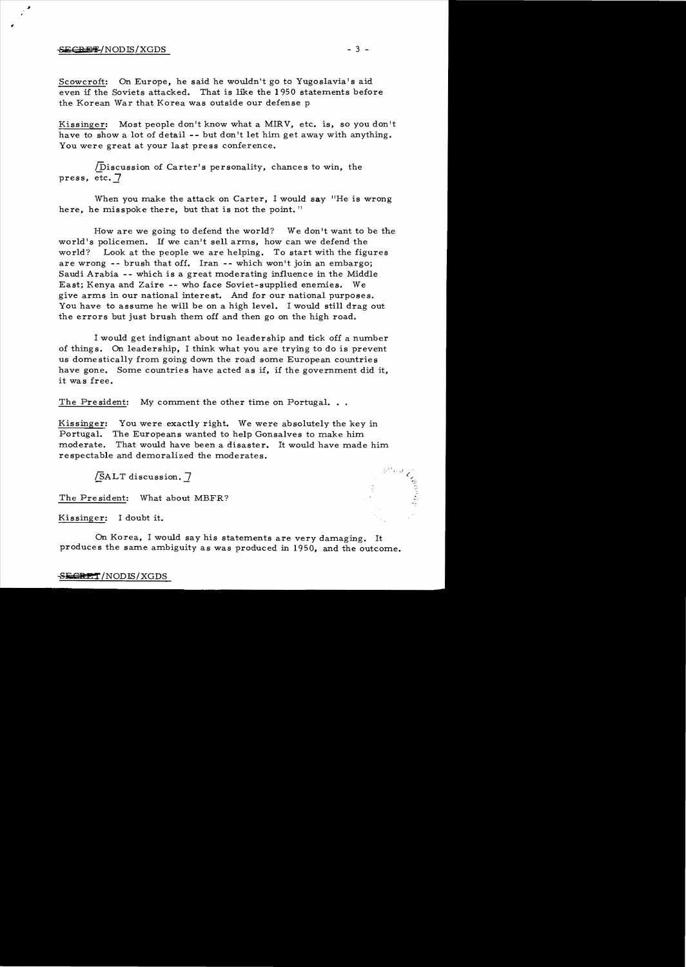## $\frac{1}{2}$   $\frac{1}{2}$   $\frac{1}{2}$   $\frac{1}{2}$   $\frac{1}{2}$   $\frac{1}{2}$   $\frac{1}{2}$   $\frac{1}{2}$   $\frac{1}{2}$   $\frac{1}{2}$   $\frac{1}{2}$   $\frac{1}{2}$   $\frac{1}{2}$   $\frac{1}{2}$   $\frac{1}{2}$   $\frac{1}{2}$   $\frac{1}{2}$   $\frac{1}{2}$   $\frac{1}{2}$   $\frac{1}{2}$   $\frac{1}{2}$   $\frac{1}{2}$   $\$

*11* 

Scowcroft: On Europe, he said he wouldn't go to Yugoslavia's aid even if the Soviets attacked. That is like the 1950 statements before the Korean War that Korea was outside our defense p

Kissinger: Most people don't know what a MIRV, etc. is, so you don't have to show a lot of detail -- but don't let him get away with anything. You were great at your last press conference.

/Discussion of Carter's personality, chances to win, the press, etc. 7

When you make the attack on Carter, I would say "He is wrong here, he misspoke there, but that is not the point. "

How are we going to defend the world? We don't want to be the world's policemen. If we can't sell arms, how can we defend the world? Look at the people we are helping. To start with the figures are wrong -- brush that off. Iran -- which won't join an embargo; Saudi Arabia -- which is a great moderating influence in the Middle East; Kenya and Zaire -- who face Soviet-supplied enemies. We give arms in our national interest. And for our national purposes. You have to assume he will be on a high level. I would still drag out the errors but just brush them off and then go on the high road.

I would get indignant about no leadership and tick off a number of things. On leadership, I think what you are trying to do is prevent us domestically from going down the road some European countries have gone. Some countries have acted as if, if the government did it, it was free.

The President: My comment the other time on Portugal...

Kissinger: You were exactly right. We were absolutely the key in Portugal. The Europeans wanted to help Gonsalves to make him moderate. That would have been a disaster. It would have made him respectable and demoralized the moderates.

/SALT discussion. 7

The Pre sident: What about MBFR?

Kissinger: I doubt it.

On Korea, I would say his statements are very damaging. It produces the same ambiguity as was produced in 1950, and the outcome.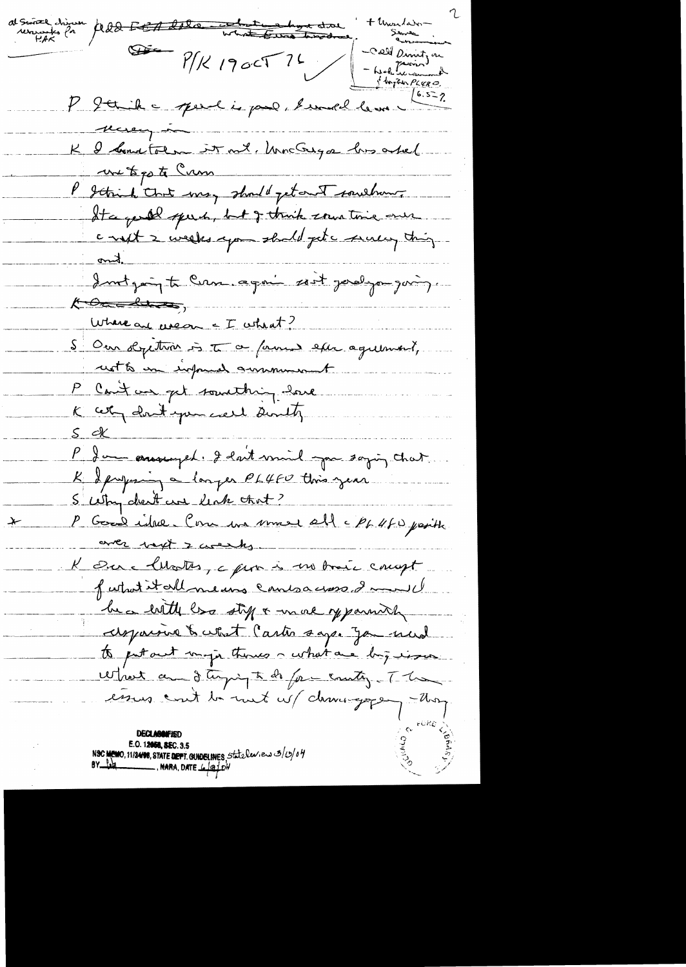al Surroutes for fledd FEA the entertainment done  $+$ llwei $l$ ado $-$ Call Dinner on Storfan PLUBO  $\sqrt{6.522}$ P 2 think a premer is pour le la voie de voie nevery in K I donne tolen it will. Uno Grega lass askel P Ittend that may should get out southours It a good speech, but I think sometime ones count 2 weeks you shall get a servery thing Instrain to Cum again esst parlyon guing. KOLEding, Where are use on - I when +? S'Our depetine is to a former efter agreement, ust to un informal announcement P Cout un get southing love K cety cloud you creel devily <u>S</u> <u>X</u> P Jam arranged. I last mind you saying that K & program a larger PL4FU this year S Why don't are link that? P Good idre Com un mond ell c PL 480 parite  $\bigstar$ aver just 2 weeks K Our Motes, après un braic cough futurited meurs combactions music be a little loss stip & more yparently deparine & what Castin says. Jam mud to put out mayor themes a what are but insure What are daying to do for country. The essues can't be sunt us derningogen - They deci Mai E.O. 12058, SEC. 3.5 NOC MEMO, 11/24/98, STATE DEPT. GUIDELINES State levies 3/13/04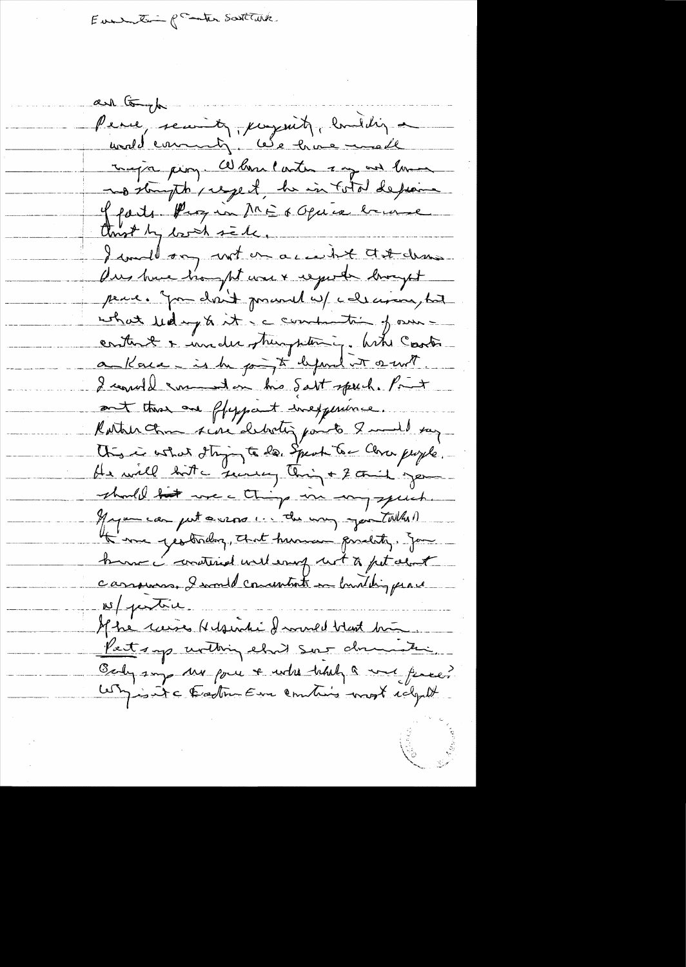Eventure of Conter South Tilk.

and tomosfer Perre, semity, paymity, emility a und comments, cele home made major ping. When conten any and love no strugth , reget, he in total defeare of parts. Prozes in ME & Oquia benne thingthey look sele. I will any not on a cent to the demand Our have hought was + regards brought peace. Jan clait procede w/ colections, but what led y to it. a commentain of own enture mudiemprise de la Castelle I could want on the Salt speech. Post ant the are flypant inexperime. Rother Chan sine debolig parts 8 mille sag This is what It is to de. Speak to a Closer purple. As will but a receive, Ching + 2 think your should bet use a thing in any speech. Myon car put a sens in the way you talked the me jestudor, that human produty. Jan however i consteried will enough not to pet about carrows. I would commentant in bundling perme  $M$ pentru. If he weises Helsenhi I would blast bin Vet sup unting ebril sur drumation. Ochy soy me pour + who hady a we fince? Why is it a trading Erne continue most religible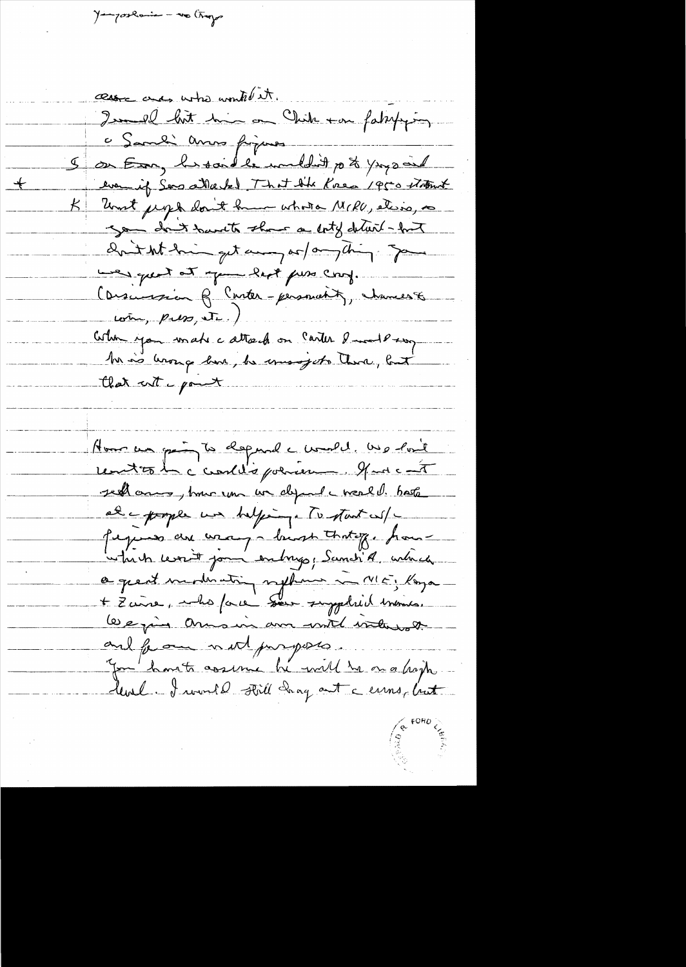Youngoutanie - we trage

cease are who wonted it. In that him on Chik ton falsyping a Sandi anno figuro 5 ou Em, heroide wildit pot you and even if Seas attacked That the Knew 1950 statent  $\pm$ Unit people don't have what a NIRU, elsis, a  $|\mathcal{K}_-|$ go don't have to show a cost detail-fort dritthe fit any or any ding some were quest ot you left puss conf. (Discursion B Carter-personality, chances &  $norm,  $p.m$ , at  $1$ .$ Cother you make a attach on Carter 8 may 10 mg Mi is hvougher, he missifits there, but that cut point Avonces prints depende would. We have remites de considés pourrem. If not cont Jethanno, how you we defined weall both at a proper un helpinge to start est peques au very hust that of howwhich won't join entrypy Sandi 4 which a quent modération suppliers au 18 ft 18 pa les espères annouin ann with interest. and for one or with purposes. Jon harats assume hi will be on a hopp devel. I would still dang out a error, but